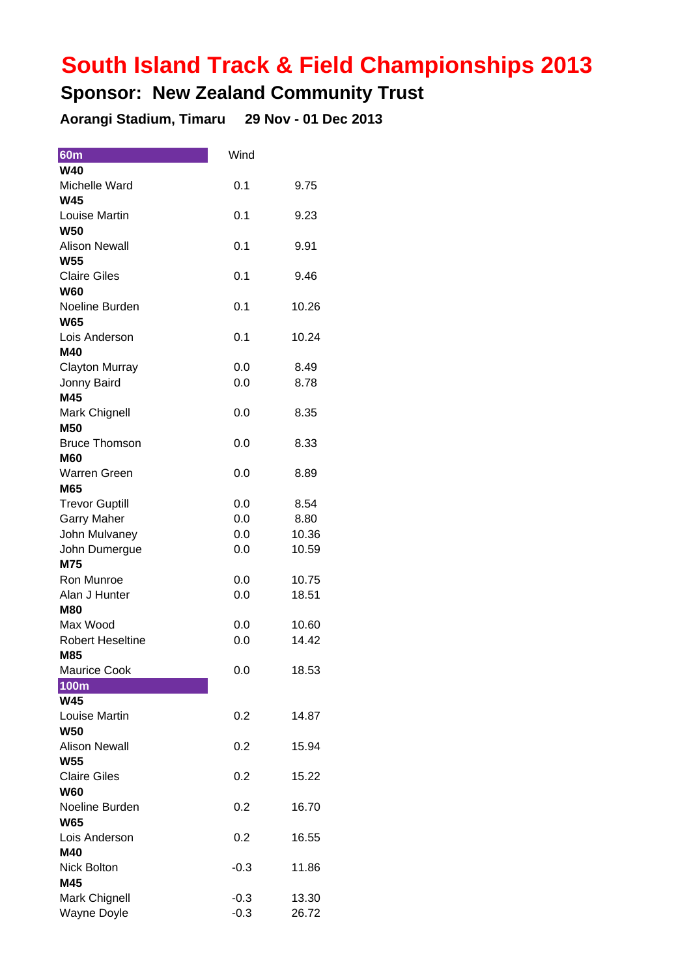## **South Island Track & Field Championships 2013**

## **Sponsor: New Zealand Community Trust**

**Aorangi Stadium, Timaru 29 Nov - 01 Dec 2013**

| <b>60m</b>              | Wind   |       |
|-------------------------|--------|-------|
| <b>W40</b>              |        |       |
| Michelle Ward           | 0.1    | 9.75  |
| <b>W45</b>              |        |       |
| Louise Martin           | 0.1    | 9.23  |
| <b>W50</b>              |        |       |
| <b>Alison Newall</b>    | 0.1    | 9.91  |
| <b>W55</b>              |        |       |
| <b>Claire Giles</b>     | 0.1    | 9.46  |
| <b>W60</b>              |        |       |
| Noeline Burden          | 0.1    | 10.26 |
| <b>W65</b>              |        |       |
| Lois Anderson           | 0.1    | 10.24 |
| M40                     |        |       |
| <b>Clayton Murray</b>   | 0.0    | 8.49  |
| Jonny Baird             | 0.0    | 8.78  |
| M45                     |        |       |
| <b>Mark Chignell</b>    | 0.0    | 8.35  |
| <b>M50</b>              |        |       |
| <b>Bruce Thomson</b>    | 0.0    | 8.33  |
| <b>M60</b>              |        |       |
| <b>Warren Green</b>     | 0.0    | 8.89  |
| M65                     |        |       |
| <b>Trevor Guptill</b>   | 0.0    | 8.54  |
| <b>Garry Maher</b>      | 0.0    | 8.80  |
| John Mulvaney           | 0.0    | 10.36 |
| John Dumergue           | 0.0    | 10.59 |
| M75                     |        |       |
| Ron Munroe              | 0.0    | 10.75 |
| Alan J Hunter           | 0.0    | 18.51 |
| M80                     |        |       |
| Max Wood                | 0.0    | 10.60 |
| <b>Robert Heseltine</b> | 0.0    | 14.42 |
| M85                     |        |       |
| <b>Maurice Cook</b>     | 0.0    | 18.53 |
| <b>100m</b>             |        |       |
| <b>W45</b>              |        |       |
| Louise Martin           | 0.2    | 14.87 |
| <b>W50</b>              |        |       |
| <b>Alison Newall</b>    | 0.2    | 15.94 |
| <b>W55</b>              |        |       |
| <b>Claire Giles</b>     | 0.2    | 15.22 |
| <b>W60</b>              |        |       |
| Noeline Burden          | 0.2    | 16.70 |
| <b>W65</b>              |        |       |
| Lois Anderson           | 0.2    | 16.55 |
| M40                     |        |       |
| <b>Nick Bolton</b>      | $-0.3$ | 11.86 |
| M45                     |        |       |
| Mark Chignell           | $-0.3$ | 13.30 |
| <b>Wayne Doyle</b>      | $-0.3$ | 26.72 |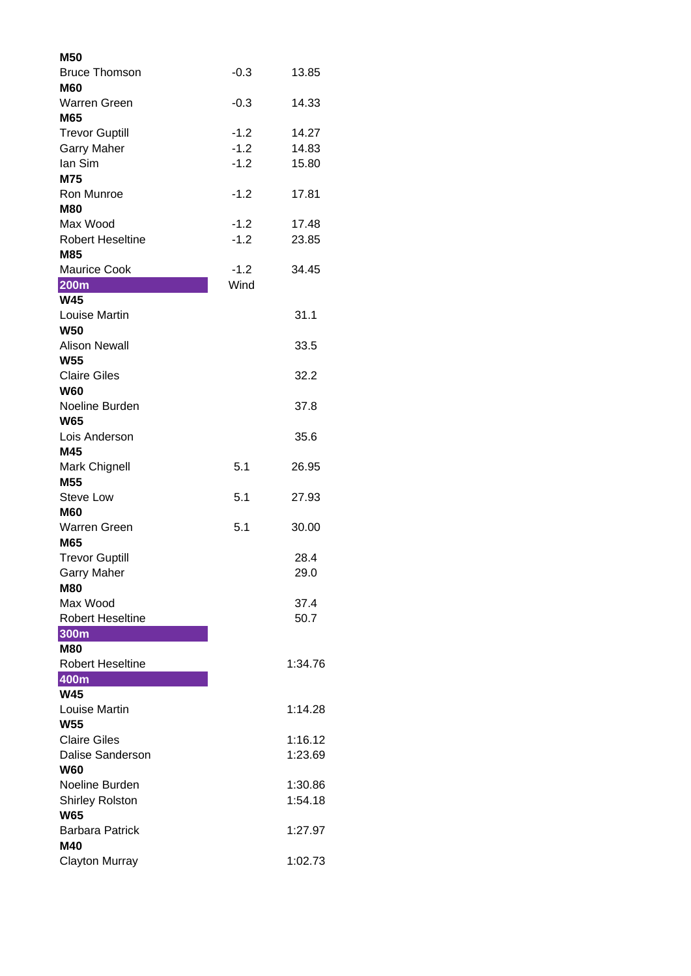| M50                                   |        |         |
|---------------------------------------|--------|---------|
| <b>Bruce Thomson</b>                  | $-0.3$ | 13.85   |
| <b>M60</b>                            |        |         |
| <b>Warren Green</b>                   | $-0.3$ | 14.33   |
| M65                                   |        |         |
| <b>Trevor Guptill</b>                 | $-1.2$ | 14.27   |
| <b>Garry Maher</b>                    | $-1.2$ | 14.83   |
| lan Sim                               | $-1.2$ | 15.80   |
| M75                                   |        |         |
| Ron Munroe                            | $-1.2$ | 17.81   |
| <b>M80</b>                            |        |         |
| Max Wood                              | $-1.2$ | 17.48   |
| <b>Robert Heseltine</b>               | $-1.2$ | 23.85   |
| M85                                   |        |         |
| <b>Maurice Cook</b>                   | $-1.2$ | 34.45   |
| <b>200m</b>                           | Wind   |         |
| <b>W45</b>                            |        |         |
| Louise Martin                         |        | 31.1    |
| <b>W50</b>                            |        |         |
| <b>Alison Newall</b>                  |        | 33.5    |
| <b>W55</b>                            |        |         |
| <b>Claire Giles</b>                   |        | 32.2    |
| <b>W60</b>                            |        |         |
| Noeline Burden                        |        | 37.8    |
| <b>W65</b>                            |        |         |
| Lois Anderson                         |        | 35.6    |
| M45                                   |        |         |
| Mark Chignell                         | 5.1    | 26.95   |
| M55                                   |        |         |
| <b>Steve Low</b>                      | 5.1    | 27.93   |
| <b>M60</b>                            |        |         |
| <b>Warren Green</b>                   | 5.1    | 30.00   |
| M65                                   |        |         |
| <b>Trevor Guptill</b>                 |        | 28.4    |
| <b>Garry Maher</b>                    |        | 29.0    |
| <b>M80</b>                            |        |         |
| Max Wood                              |        | 37.4    |
| <b>Robert Heseltine</b>               |        | 50.7    |
| 300m                                  |        |         |
| <b>M80</b><br><b>Robert Heseltine</b> |        | 1:34.76 |
| 400m                                  |        |         |
| <b>W45</b>                            |        |         |
| Louise Martin                         |        | 1:14.28 |
| <b>W55</b>                            |        |         |
| <b>Claire Giles</b>                   |        | 1:16.12 |
| Dalise Sanderson                      |        | 1:23.69 |
| <b>W60</b>                            |        |         |
| Noeline Burden                        |        | 1:30.86 |
| <b>Shirley Rolston</b>                |        | 1:54.18 |
| <b>W65</b>                            |        |         |
| <b>Barbara Patrick</b>                |        | 1:27.97 |
| M40                                   |        |         |
|                                       |        | 1:02.73 |
| <b>Clayton Murray</b>                 |        |         |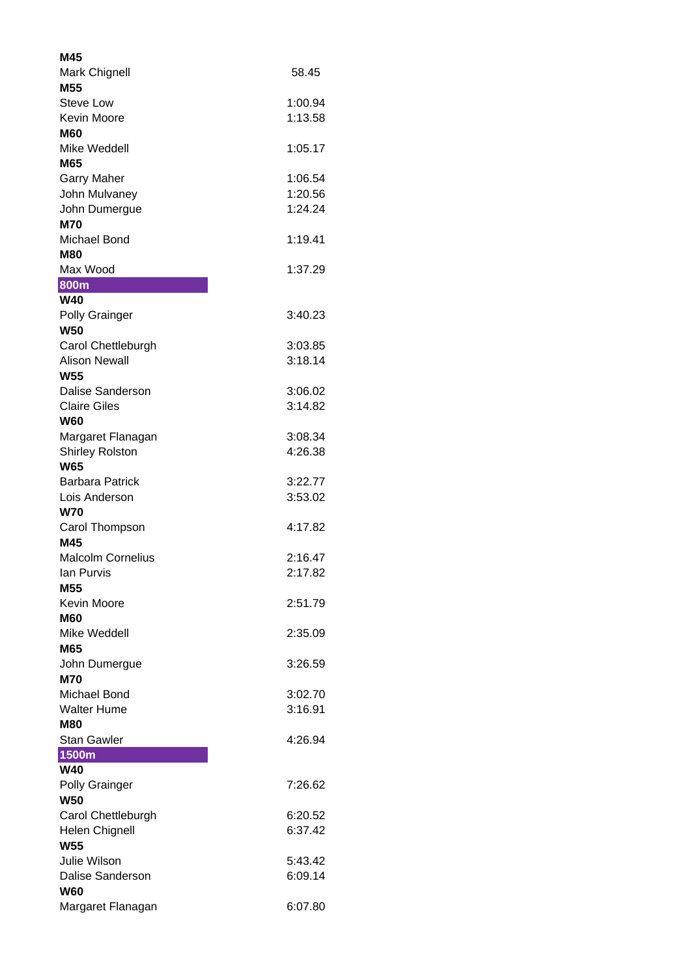| M45                      |         |
|--------------------------|---------|
| <b>Mark Chignell</b>     | 58.45   |
| M55                      |         |
| <b>Steve Low</b>         | 1:00.94 |
| <b>Kevin Moore</b>       | 1:13.58 |
| M60                      |         |
| Mike Weddell             | 1:05.17 |
| M65                      |         |
| <b>Garry Maher</b>       | 1:06.54 |
| John Mulvaney            | 1:20.56 |
| John Dumergue            | 1:24.24 |
| <b>M70</b>               |         |
| Michael Bond             | 1:19.41 |
| M80                      |         |
| Max Wood                 | 1:37.29 |
| <b>800m</b>              |         |
| <b>W40</b>               |         |
| <b>Polly Grainger</b>    | 3:40.23 |
| <b>W50</b>               |         |
| Carol Chettleburgh       | 3:03.85 |
| <b>Alison Newall</b>     | 3:18.14 |
| W55                      |         |
| <b>Dalise Sanderson</b>  | 3:06.02 |
| <b>Claire Giles</b>      | 3:14.82 |
| W60                      |         |
| Margaret Flanagan        | 3:08.34 |
| <b>Shirley Rolston</b>   | 4:26.38 |
| <b>W65</b>               |         |
| <b>Barbara Patrick</b>   | 3:22.77 |
| Lois Anderson            | 3:53.02 |
| <b>W70</b>               |         |
| Carol Thompson           | 4:17.82 |
| M45                      |         |
| <b>Malcolm Cornelius</b> | 2:16.47 |
| <b>Ian Purvis</b>        | 2:17.82 |
| M <sub>55</sub>          |         |
| Kevin Moore              | 2:51.79 |
| <b>M60</b>               |         |
| Mike Weddell             | 2:35.09 |
| M65                      |         |
| John Dumergue            | 3:26.59 |
| <b>M70</b>               |         |
| Michael Bond             | 3:02.70 |
| <b>Walter Hume</b>       | 3:16.91 |
| <b>M80</b>               |         |
| <b>Stan Gawler</b>       | 4:26.94 |
| 1500m                    |         |
| <b>W40</b>               |         |
| Polly Grainger           | 7:26.62 |
| <b>W50</b>               |         |
| Carol Chettleburgh       | 6:20.52 |
| <b>Helen Chignell</b>    | 6:37.42 |
| <b>W55</b>               |         |
| <b>Julie Wilson</b>      | 5:43.42 |
| <b>Dalise Sanderson</b>  | 6:09.14 |
| <b>W60</b>               |         |
| Margaret Flanagan        | 6:07.80 |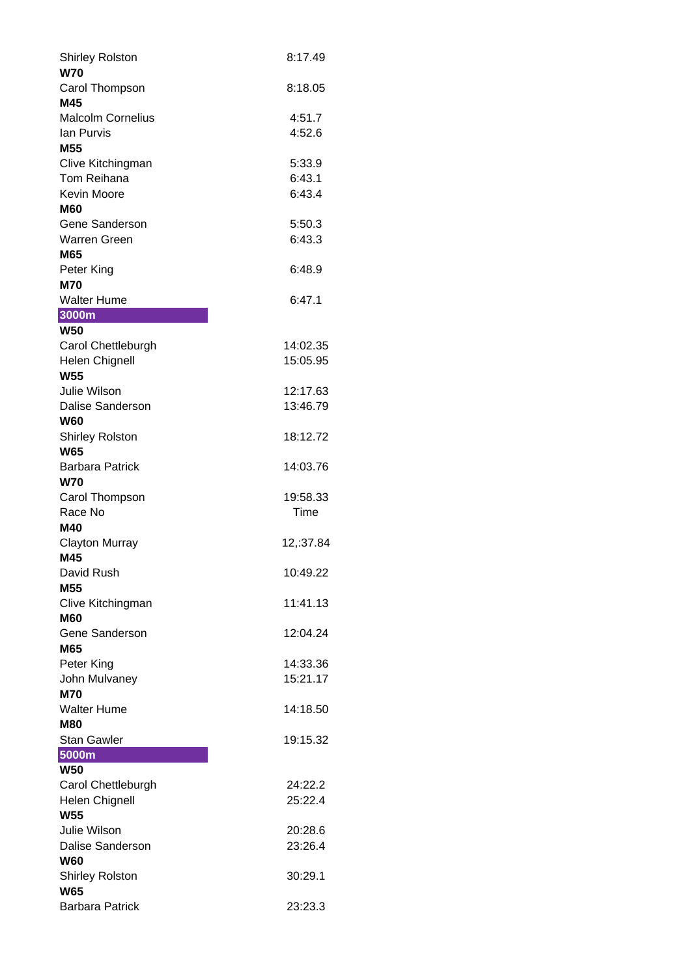| <b>Shirley Rolston</b>               | 8:17.49              |
|--------------------------------------|----------------------|
| <b>W70</b>                           |                      |
| Carol Thompson                       | 8:18.05              |
| M45                                  |                      |
| <b>Malcolm Cornelius</b>             | 4:51.7               |
| lan Purvis                           | 4:52.6               |
| M55                                  |                      |
| Clive Kitchingman<br>Tom Reihana     | 5:33.9<br>6:43.1     |
| <b>Kevin Moore</b>                   | 6:43.4               |
| <b>M60</b>                           |                      |
| Gene Sanderson                       | 5:50.3               |
| Warren Green                         | 6:43.3               |
| M65                                  |                      |
| Peter King                           | 6:48.9               |
| M70                                  |                      |
| <b>Walter Hume</b>                   | 6:47.1               |
| 3000m                                |                      |
| <b>W50</b>                           |                      |
| Carol Chettleburgh                   | 14:02.35             |
| <b>Helen Chignell</b>                | 15:05.95             |
| <b>W55</b><br><b>Julie Wilson</b>    | 12:17.63             |
| Dalise Sanderson                     | 13:46.79             |
| <b>W60</b>                           |                      |
| <b>Shirley Rolston</b>               | 18:12.72             |
| <b>W65</b>                           |                      |
|                                      |                      |
| <b>Barbara Patrick</b>               | 14:03.76             |
| <b>W70</b>                           |                      |
| Carol Thompson                       | 19:58.33             |
| Race No                              | Time                 |
| M40                                  |                      |
| <b>Clayton Murray</b>                | 12,:37.84            |
| M45                                  |                      |
| David Rush                           | 10:49.22             |
| M <sub>55</sub>                      |                      |
| Clive Kitchingman                    | 11:41.13             |
| <b>M60</b>                           |                      |
| Gene Sanderson                       | 12:04.24             |
| M65                                  |                      |
| Peter King                           | 14:33.36<br>15:21.17 |
| John Mulvaney<br><b>M70</b>          |                      |
| <b>Walter Hume</b>                   | 14:18.50             |
| <b>M80</b>                           |                      |
| <b>Stan Gawler</b>                   | 19:15.32             |
| 5000m                                |                      |
| <b>W50</b>                           |                      |
| Carol Chettleburgh                   | 24:22.2              |
| Helen Chignell                       | 25:22.4              |
| <b>W55</b>                           |                      |
| <b>Julie Wilson</b>                  | 20:28.6              |
| Dalise Sanderson                     | 23:26.4              |
| <b>W60</b>                           | 30:29.1              |
| <b>Shirley Rolston</b><br><b>W65</b> |                      |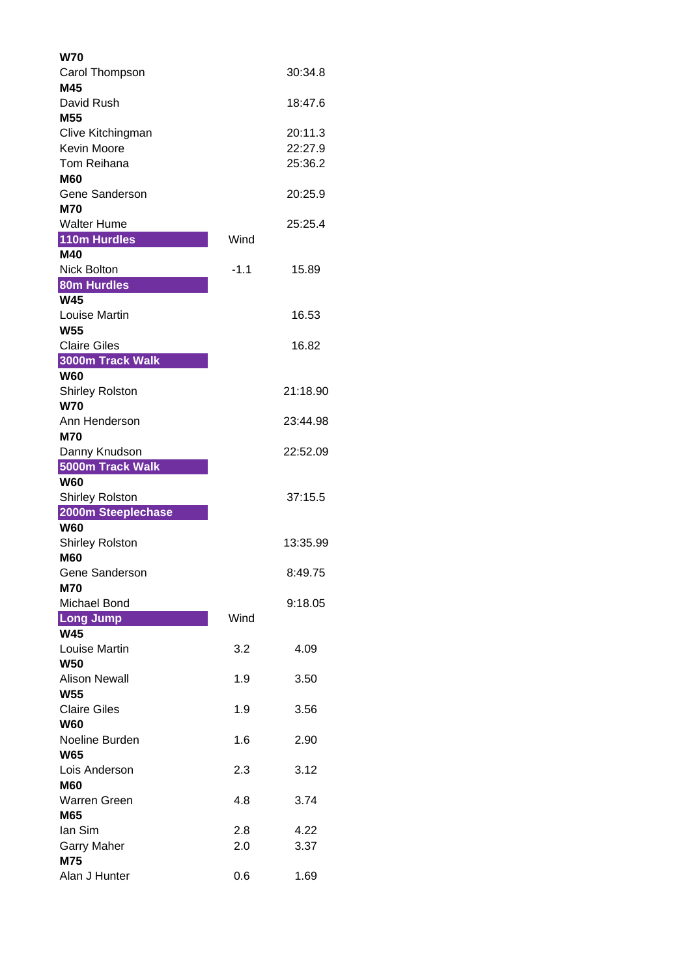| W70                               |        |          |
|-----------------------------------|--------|----------|
| Carol Thompson                    |        | 30:34.8  |
| M45                               |        |          |
| David Rush                        |        | 18:47.6  |
| M <sub>55</sub>                   |        |          |
| Clive Kitchingman                 |        | 20:11.3  |
| <b>Kevin Moore</b>                |        | 22:27.9  |
| Tom Reihana                       |        | 25:36.2  |
| <b>M60</b>                        |        |          |
| Gene Sanderson                    |        | 20:25.9  |
| <b>M70</b><br><b>Walter Hume</b>  |        | 25:25.4  |
| 110m Hurdles                      | Wind   |          |
| M40                               |        |          |
| Nick Bolton                       | $-1.1$ | 15.89    |
| <b>80m Hurdles</b>                |        |          |
| W45                               |        |          |
| Louise Martin                     |        | 16.53    |
| <b>W55</b>                        |        |          |
| <b>Claire Giles</b>               |        | 16.82    |
| 3000m Track Walk                  |        |          |
| <b>W60</b>                        |        |          |
| <b>Shirley Rolston</b>            |        | 21:18.90 |
| <b>W70</b>                        |        |          |
| Ann Henderson                     |        | 23:44.98 |
| <b>M70</b>                        |        | 22:52.09 |
| Danny Knudson<br>5000m Track Walk |        |          |
| <b>W60</b>                        |        |          |
| <b>Shirley Rolston</b>            |        | 37:15.5  |
| 2000m Steeplechase                |        |          |
| <b>W60</b>                        |        |          |
| <b>Shirley Rolston</b>            |        | 13:35.99 |
| <b>M60</b>                        |        |          |
| Gene Sanderson                    |        | 8:49.75  |
| <b>M70</b>                        |        |          |
| Michael Bond                      |        | 9:18.05  |
| <b>Long Jump</b><br><b>W45</b>    | Wind   |          |
| Louise Martin                     | 3.2    | 4.09     |
| <b>W50</b>                        |        |          |
| <b>Alison Newall</b>              | 1.9    | 3.50     |
| <b>W55</b>                        |        |          |
| <b>Claire Giles</b>               | 1.9    | 3.56     |
| <b>W60</b>                        |        |          |
| Noeline Burden                    | 1.6    | 2.90     |
| <b>W65</b>                        |        |          |
| Lois Anderson                     | 2.3    | 3.12     |
| <b>M60</b>                        |        |          |
| Warren Green                      | 4.8    | 3.74     |
| M65                               |        |          |
| lan Sim                           | 2.8    | 4.22     |
| <b>Garry Maher</b>                | 2.0    | 3.37     |
| <b>M75</b><br>Alan J Hunter       | 0.6    | 1.69     |
|                                   |        |          |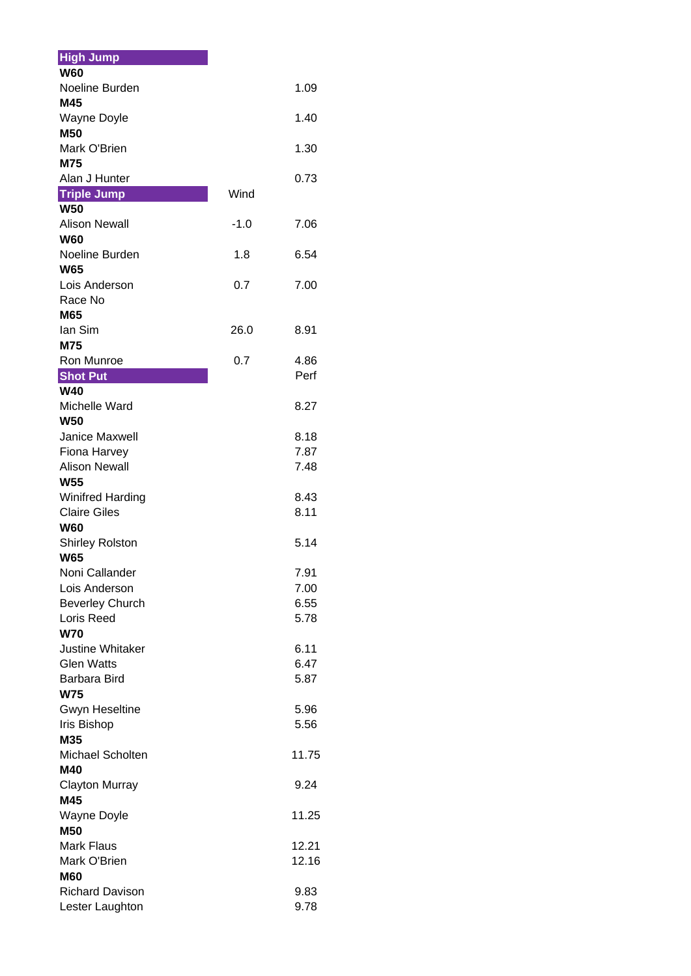| <b>High Jump</b>                     |        |       |
|--------------------------------------|--------|-------|
| <b>W60</b>                           |        |       |
| Noeline Burden                       |        | 1.09  |
| M45                                  |        |       |
| <b>Wayne Doyle</b>                   |        | 1.40  |
| <b>M50</b>                           |        |       |
| Mark O'Brien<br>M75                  |        | 1.30  |
| Alan J Hunter                        |        | 0.73  |
| <b>Triple Jump</b>                   | Wind   |       |
| <b>W50</b>                           |        |       |
| <b>Alison Newall</b>                 | $-1.0$ | 7.06  |
| <b>W60</b>                           |        |       |
| Noeline Burden                       | 1.8    | 6.54  |
| <b>W65</b>                           |        |       |
| Lois Anderson                        | 0.7    | 7.00  |
| Race No                              |        |       |
| M65                                  |        |       |
| lan Sim                              | 26.0   | 8.91  |
| M75<br>Ron Munroe                    | 0.7    | 4.86  |
| <b>Shot Put</b>                      |        | Perf  |
| <b>W40</b>                           |        |       |
| Michelle Ward                        |        | 8.27  |
| <b>W50</b>                           |        |       |
| <b>Janice Maxwell</b>                |        | 8.18  |
| Fiona Harvey                         |        | 7.87  |
| <b>Alison Newall</b>                 |        | 7.48  |
| <b>W55</b>                           |        |       |
| <b>Winifred Harding</b>              |        | 8.43  |
| <b>Claire Giles</b>                  |        | 8.11  |
| <b>W60</b>                           |        |       |
| <b>Shirley Rolston</b><br><b>W65</b> |        | 5.14  |
| Noni Callander                       |        | 7.91  |
| Lois Anderson                        |        | 7.00  |
| <b>Beverley Church</b>               |        | 6.55  |
| Loris Reed                           |        | 5.78  |
| <b>W70</b>                           |        |       |
| <b>Justine Whitaker</b>              |        | 6.11  |
| <b>Glen Watts</b>                    |        | 6.47  |
| <b>Barbara Bird</b>                  |        | 5.87  |
| <b>W75</b>                           |        |       |
| <b>Gwyn Heseltine</b>                |        | 5.96  |
| Iris Bishop<br>M35                   |        | 5.56  |
| Michael Scholten                     |        | 11.75 |
| M40                                  |        |       |
| <b>Clayton Murray</b>                |        | 9.24  |
| M45                                  |        |       |
| Wayne Doyle                          |        | 11.25 |
| <b>M50</b>                           |        |       |
| Mark Flaus                           |        | 12.21 |
| Mark O'Brien                         |        | 12.16 |
| <b>M60</b>                           |        |       |
| <b>Richard Davison</b>               |        | 9.83  |
| Lester Laughton                      |        | 9.78  |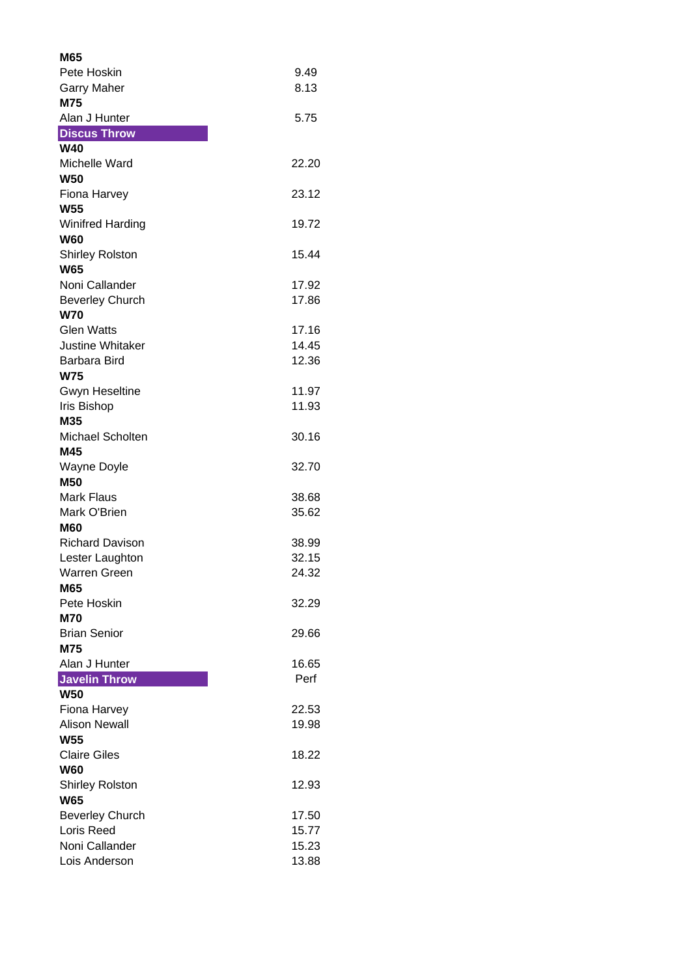| M65                     |       |
|-------------------------|-------|
| Pete Hoskin             | 9.49  |
| <b>Garry Maher</b>      | 8.13  |
| M75                     |       |
| Alan J Hunter           | 5.75  |
| <b>Discus Throw</b>     |       |
| <b>W40</b>              |       |
| Michelle Ward           | 22.20 |
| <b>W50</b>              |       |
| Fiona Harvey            | 23.12 |
| <b>W55</b>              |       |
|                         | 19.72 |
| <b>Winifred Harding</b> |       |
| <b>W60</b>              |       |
| <b>Shirley Rolston</b>  | 15.44 |
| <b>W65</b>              |       |
| Noni Callander          | 17.92 |
| <b>Beverley Church</b>  | 17.86 |
| <b>W70</b>              |       |
| <b>Glen Watts</b>       | 17.16 |
| <b>Justine Whitaker</b> | 14.45 |
| Barbara Bird            | 12.36 |
| <b>W75</b>              |       |
| <b>Gwyn Heseltine</b>   | 11.97 |
| <b>Iris Bishop</b>      | 11.93 |
| M35                     |       |
| <b>Michael Scholten</b> | 30.16 |
| M45                     |       |
| <b>Wayne Doyle</b>      | 32.70 |
| <b>M50</b>              |       |
| <b>Mark Flaus</b>       | 38.68 |
| Mark O'Brien            | 35.62 |
| <b>M60</b>              |       |
| <b>Richard Davison</b>  | 38.99 |
| Lester Laughton         | 32.15 |
| <b>Warren Green</b>     | 24.32 |
| M65                     |       |
| Pete Hoskin             | 32.29 |
| <b>M70</b>              |       |
| <b>Brian Senior</b>     | 29.66 |
| M75                     |       |
| Alan J Hunter           | 16.65 |
| <b>Javelin Throw</b>    | Perf  |
| <b>W50</b>              |       |
| Fiona Harvey            | 22.53 |
| <b>Alison Newall</b>    | 19.98 |
| <b>W55</b>              |       |
| <b>Claire Giles</b>     | 18.22 |
| <b>W60</b>              |       |
| <b>Shirley Rolston</b>  | 12.93 |
| <b>W65</b>              |       |
| <b>Beverley Church</b>  | 17.50 |
| Loris Reed              | 15.77 |
|                         |       |
| Noni Callander          | 15.23 |
| Lois Anderson           | 13.88 |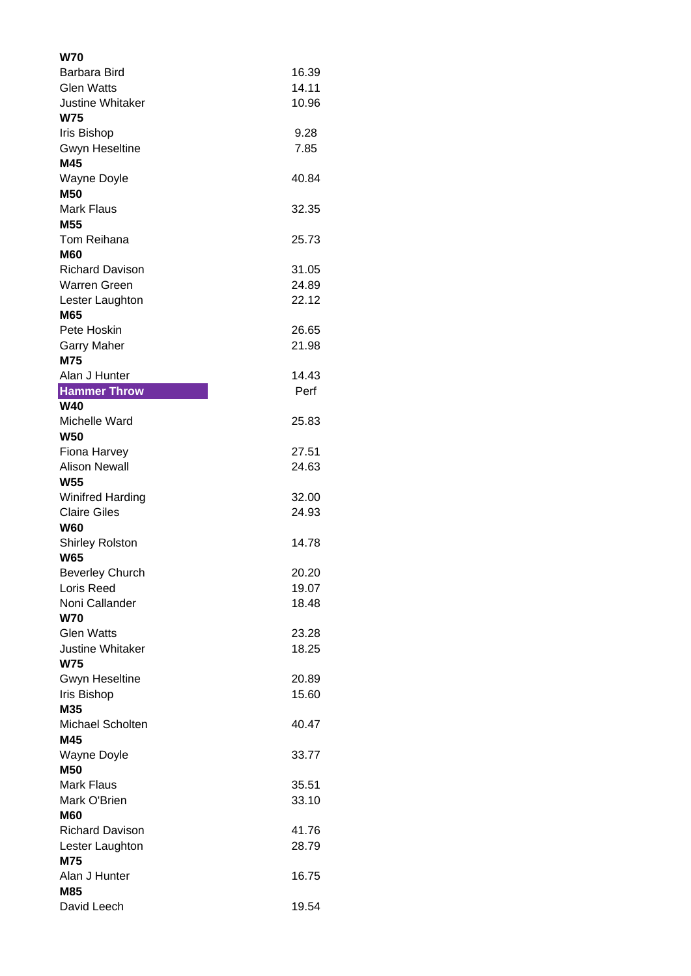| W70                                 |                |
|-------------------------------------|----------------|
| Barbara Bird                        | 16.39          |
| <b>Glen Watts</b>                   | 14.11          |
| <b>Justine Whitaker</b>             | 10.96          |
| <b>W75</b>                          |                |
| <b>Iris Bishop</b>                  | 9.28           |
| <b>Gwyn Heseltine</b>               | 7.85           |
| M45                                 |                |
| Wayne Doyle                         | 40.84          |
| <b>M50</b>                          |                |
| <b>Mark Flaus</b>                   | 32.35          |
| M55                                 |                |
| Tom Reihana                         | 25.73          |
| M60                                 |                |
| <b>Richard Davison</b>              | 31.05          |
| <b>Warren Green</b>                 | 24.89          |
| Lester Laughton                     | 22.12          |
| M65                                 |                |
| Pete Hoskin                         | 26.65<br>21.98 |
| <b>Garry Maher</b><br>M75           |                |
| Alan J Hunter                       | 14.43          |
| <b>Hammer Throw</b>                 | Perf           |
| <b>W40</b>                          |                |
| Michelle Ward                       | 25.83          |
| <b>W50</b>                          |                |
| Fiona Harvey                        | 27.51          |
| <b>Alison Newall</b>                | 24.63          |
| <b>W55</b>                          |                |
| <b>Winifred Harding</b>             | 32.00          |
| <b>Claire Giles</b>                 | 24.93          |
| <b>W60</b>                          |                |
| <b>Shirley Rolston</b>              | 14.78          |
| <b>W65</b>                          |                |
| <b>Beverley Church</b>              | 20.20          |
| Loris Reed                          | 19.07          |
| Noni Callander                      | 18.48          |
| <b>W70</b>                          |                |
| <b>Glen Watts</b>                   | 23.28          |
| <b>Justine Whitaker</b>             | 18.25          |
| <b>W75</b><br><b>Gwyn Heseltine</b> | 20.89          |
| <b>Iris Bishop</b>                  | 15.60          |
| M35                                 |                |
| Michael Scholten                    | 40.47          |
| M45                                 |                |
| <b>Wayne Doyle</b>                  | 33.77          |
| <b>M50</b>                          |                |
| <b>Mark Flaus</b>                   | 35.51          |
| Mark O'Brien                        | 33.10          |
| <b>M60</b>                          |                |
| <b>Richard Davison</b>              | 41.76          |
| Lester Laughton                     | 28.79          |
| M75                                 |                |
| Alan J Hunter                       | 16.75          |
| M85                                 |                |
| David Leech                         | 19.54          |